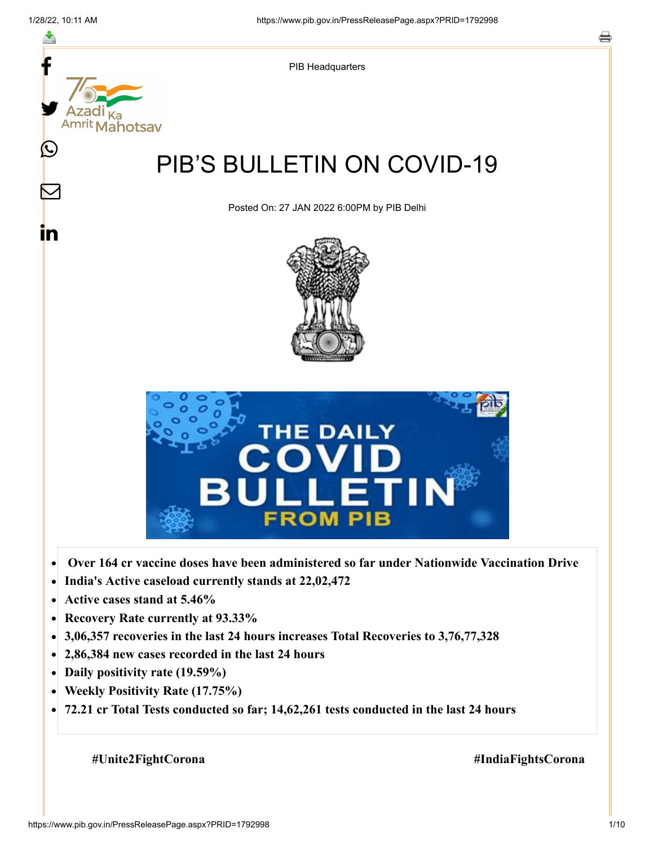

- **Active cases stand at 5.46%**  $\bullet$
- **Recovery Rate currently at 93.33%**  $\bullet$
- **3,06,357 recoveries in the last 24 hours increases Total Recoveries to 3,76,77,328**  $\bullet$
- **2,86,384 new cases recorded in the last 24 hours**
- **Daily positivity rate (19.59%)**
- **Weekly Positivity Rate (17.75%)**  $\bullet$
- **72.21 cr Total Tests conducted so far; 14,62,261 tests conducted in the last 24 hours**  $\bullet$

 **#Unite2FightCorona #IndiaFightsCorona**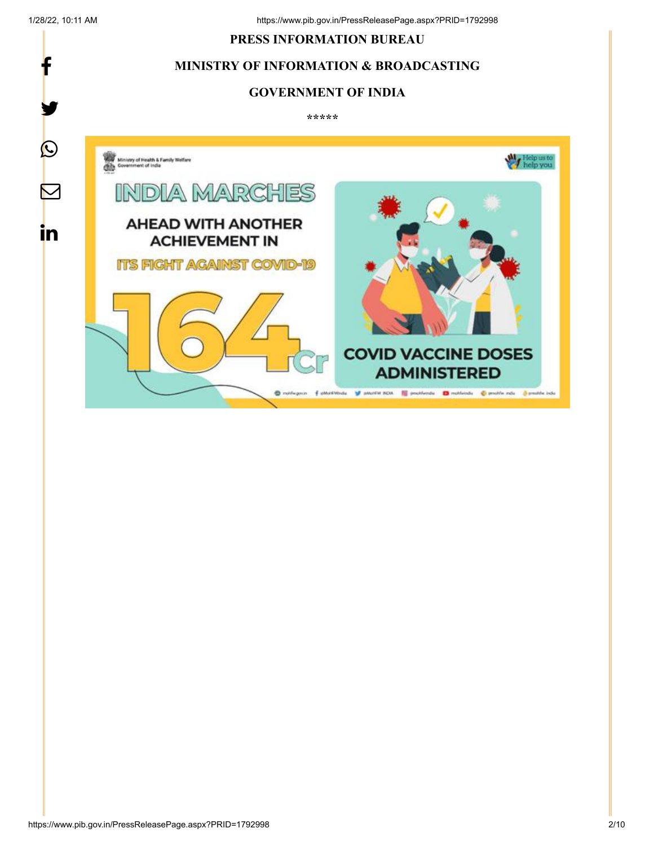f

y.

# **PRESS INFORMATION BUREAU**

# **MINISTRY OF INFORMATION & BROADCASTING**

### **GOVERNMENT OF INDIA**

**\*\*\*\*\*** 

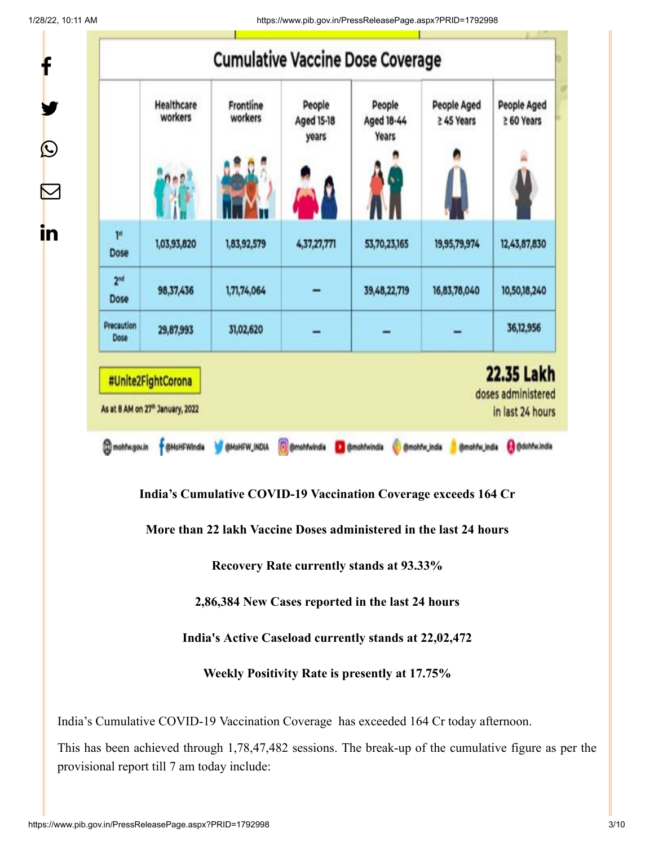1/28/22, 10:11 AM https://www.pib.gov.in/PressReleasePage.aspx?PRID=1792998

|                         | Healthcare<br>workers | Frontline<br>workers | People<br><b>Aged 15-18</b><br>years | People<br>Aged 18-44<br>Years | <b>People Aged</b><br>≥ 45 Years | <b>People Aged</b><br>≥ 60 Years |
|-------------------------|-----------------------|----------------------|--------------------------------------|-------------------------------|----------------------------------|----------------------------------|
|                         |                       |                      |                                      |                               |                                  |                                  |
| p.<br>Dose              | 1,03,93,820           | 1,83,92,579          | 4,37,27,771                          | 53,70,23,165                  | 19,95,79,974                     | 12,43,87,830                     |
| 2 <sup>nd</sup><br>Dose | 98,37,436             | 1,71,74,064          |                                      | 39, 48, 22, 719               | 16,83,78,040                     | 10,50,18,240                     |
| Precaution              | 29,87,993             | 31,02,620            |                                      |                               |                                  | 36,12,956                        |

**India's Cumulative COVID-19 Vaccination Coverage exceeds 164 Cr**

**More than 22 lakh Vaccine Doses administered in the last 24 hours**

**Recovery Rate currently stands at 93.33%**

**2,86,384 New Cases reported in the last 24 hours**

**India's Active Caseload currently stands at 22,02,472**

**Weekly Positivity Rate is presently at 17.75%**

India's Cumulative COVID-19 Vaccination Coverage has exceeded 164 Cr today afternoon.

This has been achieved through 1,78,47,482 sessions. The break-up of the cumulative figure as per the provisional report till 7 am today include: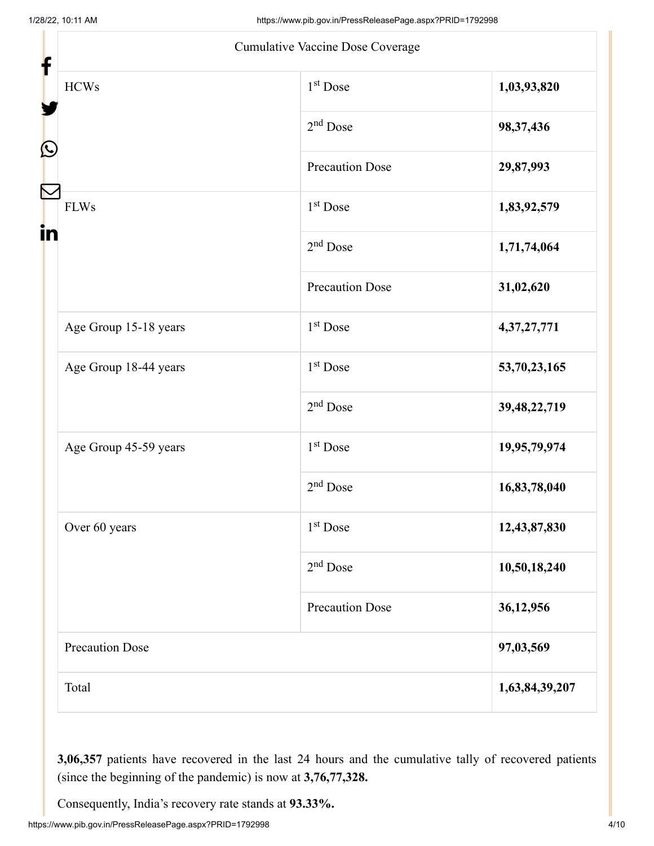|                        | Cumulative Vaccine Dose Coverage |                 |  |  |
|------------------------|----------------------------------|-----------------|--|--|
| <b>HCWs</b>            | 1 <sup>st</sup> Dose             | 1,03,93,820     |  |  |
|                        | $2nd$ Dose                       | 98, 37, 436     |  |  |
| $\mathbf{\Omega}$      | <b>Precaution Dose</b>           | 29,87,993       |  |  |
| <b>FLWs</b>            | 1 <sup>st</sup> Dose             | 1,83,92,579     |  |  |
| in                     | $2nd$ Dose                       | 1,71,74,064     |  |  |
|                        | <b>Precaution Dose</b>           | 31,02,620       |  |  |
| Age Group 15-18 years  | $1st$ Dose                       | 4, 37, 27, 771  |  |  |
| Age Group 18-44 years  | 1 <sup>st</sup> Dose             | 53,70,23,165    |  |  |
|                        | $2nd$ Dose                       | 39, 48, 22, 719 |  |  |
| Age Group 45-59 years  | $1st$ Dose                       | 19,95,79,974    |  |  |
|                        | $2nd$ Dose                       | 16,83,78,040    |  |  |
| Over 60 years          | $1st$ Dose                       | 12,43,87,830    |  |  |
|                        | $2nd$ Dose                       | 10,50,18,240    |  |  |
|                        | <b>Precaution Dose</b>           | 36,12,956       |  |  |
| <b>Precaution Dose</b> | 97,03,569                        |                 |  |  |
| Total                  |                                  | 1,63,84,39,207  |  |  |

**3,06,357** patients have recovered in the last 24 hours and the cumulative tally of recovered patients (since the beginning of the pandemic) is now at **3,76,77,328.**

Consequently, India's recovery rate stands at **93.33%.**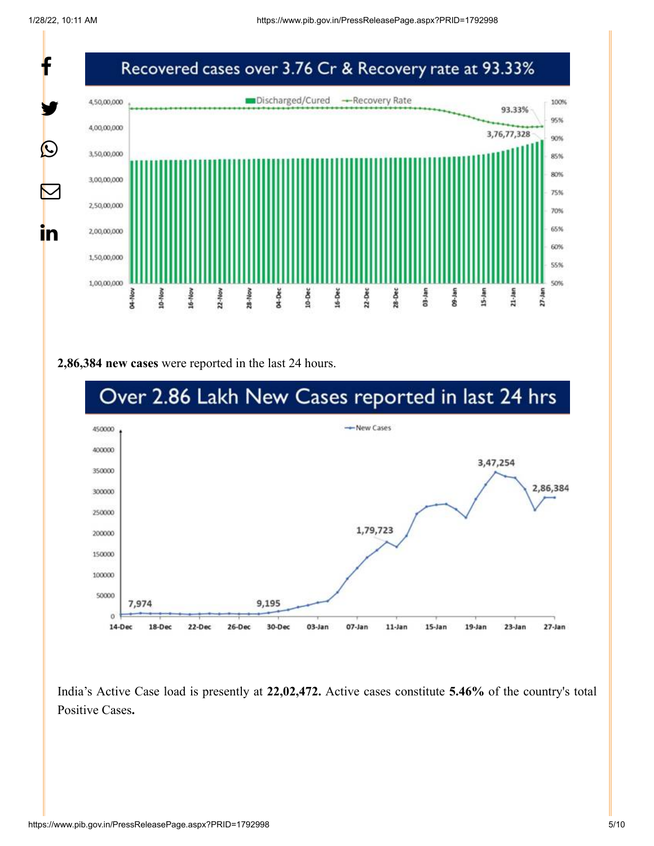

#### **2,86,384 new cases** were reported in the last 24 hours.



India's Active Case load is presently at **22,02,472.** Active cases constitute **5.46%** of the country's total Positive Cases**.**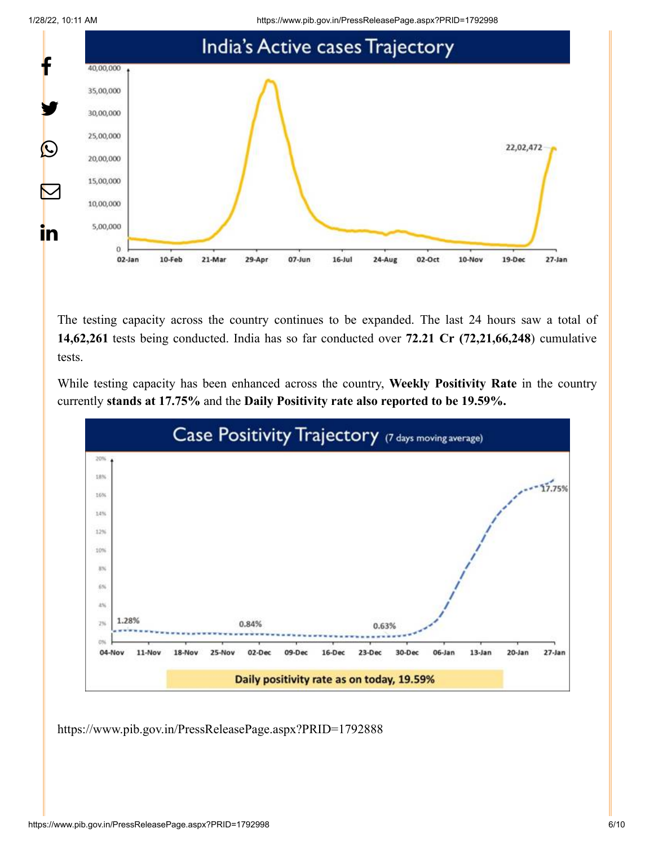1/28/22, 10:11 AM https://www.pib.gov.in/PressReleasePage.aspx?PRID=1792998



The testing capacity across the country continues to be expanded. The last 24 hours saw a total of **14,62,261** tests being conducted. India has so far conducted over **72.21 Cr (72,21,66,248**) cumulative tests.

While testing capacity has been enhanced across the country, **Weekly Positivity Rate** in the country currently **stands at 17.75%** and the **Daily Positivity rate also reported to be 19.59%.**



<https://www.pib.gov.in/PressReleasePage.aspx?PRID=1792888>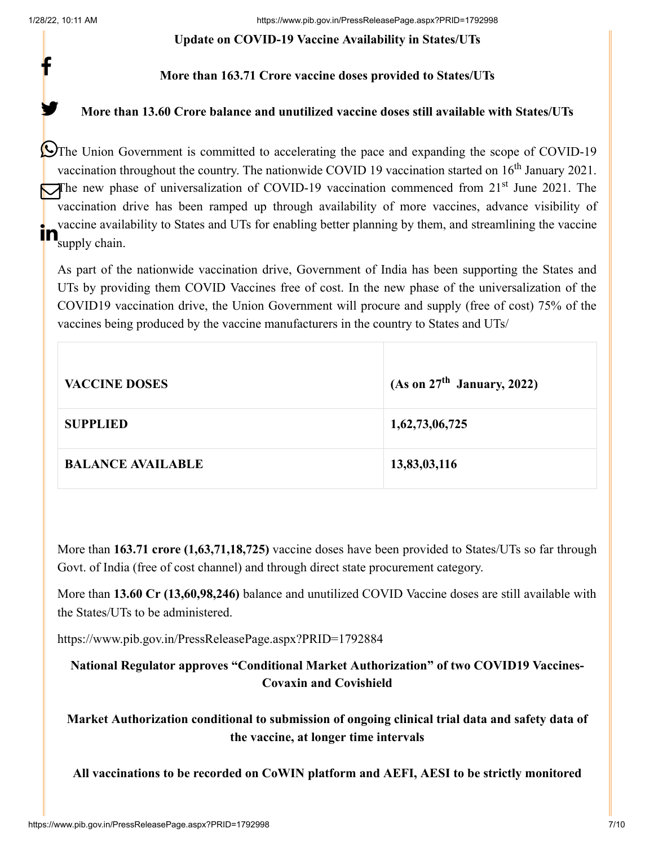f

y.

#### **Update on COVID-19 Vaccine Availability in States/UTs**

# **More than 163.71 Crore vaccine doses provided to States/UTs**

# **More than 13.60 Crore balance and unutilized vaccine doses still available with States/UTs**

The Union Government is committed to accelerating the pace and expanding the scope of COVID-19 vaccination throughout the country. The nationwide COVID 19 vaccination started on  $16<sup>th</sup>$  January 2021. The new phase of universalization of COVID-19 vaccination commenced from  $21<sup>st</sup>$  June 2021. The vaccination drive has been ramped up through availability of more vaccines, advance visibility of vaccine availability to States and UTs for enabling better planning by them, and streamlining the vaccine **in** vaccine availa

As part of the nationwide vaccination drive, Government of India has been supporting the States and UTs by providing them COVID Vaccines free of cost. In the new phase of the universalization of the COVID19 vaccination drive, the Union Government will procure and supply (free of cost) 75% of the vaccines being produced by the vaccine manufacturers in the country to States and UTs/

| <b>VACCINE DOSES</b>     | (As on $27th$ January, 2022) |
|--------------------------|------------------------------|
| <b>SUPPLIED</b>          | 1,62,73,06,725               |
| <b>BALANCE AVAILABLE</b> | 13,83,03,116                 |

More than **163.71 crore (1,63,71,18,725)** vaccine doses have been provided to States/UTs so far through Govt. of India (free of cost channel) and through direct state procurement category.

More than **13.60 Cr (13,60,98,246)** balance and unutilized COVID Vaccine doses are still available with the States/UTs to be administered.

<https://www.pib.gov.in/PressReleasePage.aspx?PRID=1792884>

**National Regulator approves "Conditional Market Authorization" of two COVID19 Vaccines-Covaxin and Covishield**

**Market Authorization conditional to submission of ongoing clinical trial data and safety data of the vaccine, at longer time intervals**

**All vaccinations to be recorded on CoWIN platform and AEFI, AESI to be strictly monitored**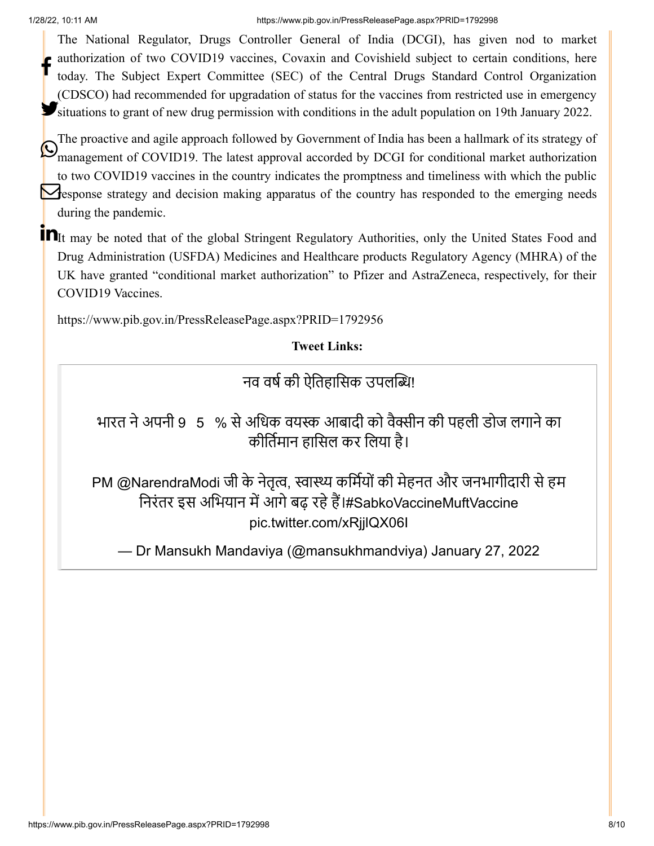#### 1/28/22, 10:11 AM https://www.pib.gov.in/PressReleasePage.aspx?PRID=1792998

The National Regulator, Drugs Controller General of India (DCGI), has given nod to market authorization of two COVID19 vaccines, Covaxin and Covishield subject to certain conditions, here today. The Subject Expert Committee (SEC) of the Central Drugs Standard Control Organization (CDSCO) had recommended for upgradation of status for the vaccines from restricted use in emergency Situations to grant of new drug permission with conditions in the adult population on 19th January 2022. f

The proactive and agile approach followed by Government of India has been a hallmark of its strategy of management of COVID19. The latest approval accorded by DCGI for conditional market authorization to two COVID19 vaccines in the country indicates the promptness and timeliness with which the public **Response strategy and decision making apparatus of the country has responded to the emerging needs** during the pandemic.

**In**It may be noted that of the global Stringent Regulatory Authorities, only the United States Food and Drug Administration (USFDA) Medicines and Healthcare products Regulatory Agency (MHRA) of the UK have granted "conditional market authorization" to Pfizer and AstraZeneca, respectively, for their COVID19 Vaccines.

<https://www.pib.gov.in/PressReleasePage.aspx?PRID=1792956>

**Tweet Links:**

नव वर्ष की ऐतिहासिक उपलब्धि!

भारत ने अपनी 9⃣5⃣% से अधिक वयस्क आबादी को वैक्सीन की पहली डोज लगाने का कीर्तिमान हासिल कर लिया है।

PM [@NarendraModi](https://twitter.com/narendramodi?ref_src=twsrc%5Etfw) जी के नेतृत्व, स्वास्थ्य कर्मियों की मेहनत और जनभागीदारी से हम निरंतर इस अभियान में आगे बढ़ रहे हैं।[#SabkoVaccineMuftVaccine](https://twitter.com/hashtag/SabkoVaccineMuftVaccine?src=hash&ref_src=twsrc%5Etfw) [pic.twitter.com/xRjjlQX06I](https://t.co/xRjjlQX06I)

— Dr Mansukh Mandaviya (@mansukhmandviya) [January 27, 2022](https://twitter.com/mansukhmandviya/status/1486659728331599873?ref_src=twsrc%5Etfw)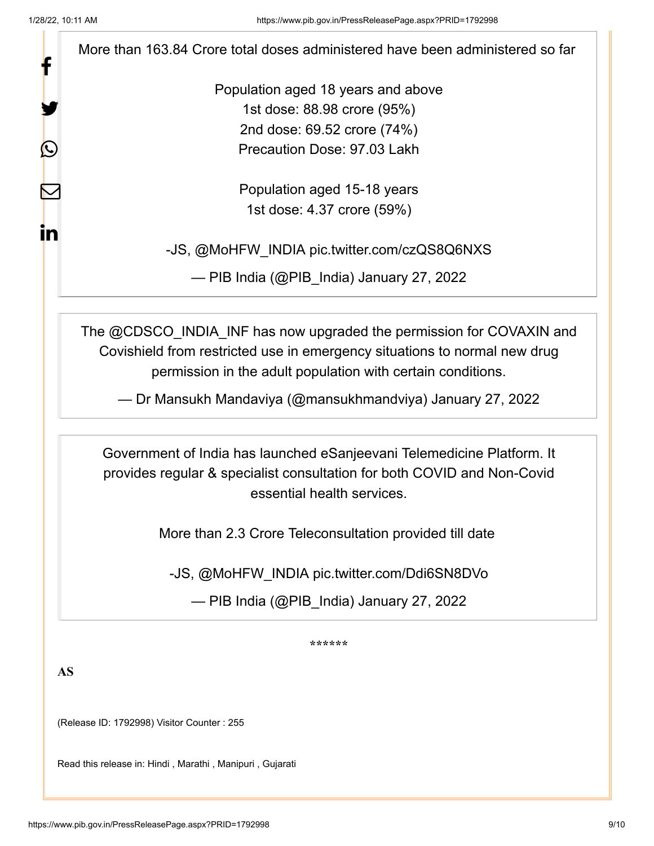f

У.

 $\bm{\mathcal{Q}}$ 

 $\mathbf \Xi$ 

in

More than 163.84 Crore total doses administered have been administered so far

Population aged 18 years and above 1st dose: 88.98 crore (95%) 2nd dose: 69.52 crore (74%) Precaution Dose: 97.03 Lakh

> Population aged 15-18 years 1st dose: 4.37 crore (59%)

-JS, [@MoHFW\\_INDIA](https://twitter.com/MoHFW_INDIA?ref_src=twsrc%5Etfw) [pic.twitter.com/czQS8Q6NXS](https://t.co/czQS8Q6NXS)

— PIB India (@PIB\_India) [January 27, 2022](https://twitter.com/PIB_India/status/1486658926653292547?ref_src=twsrc%5Etfw)

The [@CDSCO\\_INDIA\\_INF](https://twitter.com/CDSCO_INDIA_INF?ref_src=twsrc%5Etfw) has now upgraded the permission for COVAXIN and Covishield from restricted use in emergency situations to normal new drug permission in the adult population with certain conditions.

— Dr Mansukh Mandaviya (@mansukhmandviya) [January 27, 2022](https://twitter.com/mansukhmandviya/status/1486641069496229892?ref_src=twsrc%5Etfw)

Government of India has launched eSanjeevani Telemedicine Platform. It provides regular & specialist consultation for both COVID and Non-Covid essential health services.

More than 2.3 Crore Teleconsultation provided till date

-JS, [@MoHFW\\_INDIA](https://twitter.com/MoHFW_INDIA?ref_src=twsrc%5Etfw) [pic.twitter.com/Ddi6SN8DVo](https://t.co/Ddi6SN8DVo)

— PIB India (@PIB\_India) [January 27, 2022](https://twitter.com/PIB_India/status/1486659455596974080?ref_src=twsrc%5Etfw)

**\*\*\*\*\*\***

**AS**

(Release ID: 1792998) Visitor Counter : 255

Read this release in: [Hindi](https://pib.gov.in/PressReleasePage.aspx?PRID=1793048) , [Marathi](https://pib.gov.in/PressReleasePage.aspx?PRID=1793032) , [Manipuri](https://pib.gov.in/PressReleasePage.aspx?PRID=1793034) , [Gujarati](https://pib.gov.in/PressReleasePage.aspx?PRID=1793097)